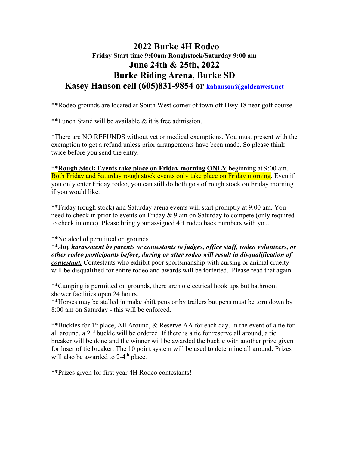### **2022 Burke 4H Rodeo Friday Start time 9:00am Roughstock/Saturday 9:00 am June 24th & 25th, 2022 Burke Riding Arena, Burke SD Kasey Hanson cell (605)831-9854 or [kahanson@goldenwest.net](mailto:kahanson@goldenwest.net)**

\*\*Rodeo grounds are located at South West corner of town off Hwy 18 near golf course.

\*\*Lunch Stand will be available & it is free admission.

\*There are NO REFUNDS without vet or medical exemptions. You must present with the exemption to get a refund unless prior arrangements have been made. So please think twice before you send the entry.

\*\***Rough Stock Events take place on Friday morning ONLY** beginning at 9:00 am. Both Friday and Saturday rough stock events only take place on Friday morning. Even if you only enter Friday rodeo, you can still do both go's of rough stock on Friday morning if you would like.

\*\*Friday (rough stock) and Saturday arena events will start promptly at 9:00 am. You need to check in prior to events on Friday & 9 am on Saturday to compete (only required to check in once). Please bring your assigned 4H rodeo back numbers with you.

\*\*No alcohol permitted on grounds

\*\**Any harassment by parents or contestants to judges, office staff, rodeo volunteers, or other rodeo participants before, during or after rodeo will result in disqualification of* 

*contestant.* Contestants who exhibit poor sportsmanship with cursing or animal cruelty will be disqualified for entire rodeo and awards will be forfeited. Please read that again.

\*\*Camping is permitted on grounds, there are no electrical hook ups but bathroom shower facilities open 24 hours.

\*\*Horses may be stalled in make shift pens or by trailers but pens must be torn down by 8:00 am on Saturday - this will be enforced.

\*\*Buckles for 1st place, All Around, & Reserve AA for each day. In the event of a tie for all around, a  $2<sup>nd</sup>$  buckle will be ordered. If there is a tie for reserve all around, a tie breaker will be done and the winner will be awarded the buckle with another prize given for loser of tie breaker. The 10 point system will be used to determine all around. Prizes will also be awarded to  $2-4$ <sup>th</sup> place.

\*\*Prizes given for first year 4H Rodeo contestants!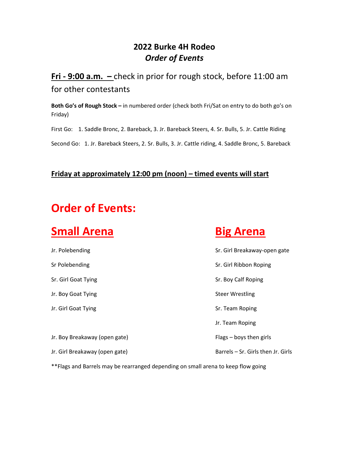## **2022 Burke 4H Rodeo** *Order of Events*

## **Fri - 9:00 a.m. –** check in prior for rough stock, before 11:00 am for other contestants

**Both Go's of Rough Stock –** in numbered order (check both Fri/Sat on entry to do both go's on Friday)

First Go: 1. Saddle Bronc, 2. Bareback, 3. Jr. Bareback Steers, 4. Sr. Bulls, 5. Jr. Cattle Riding

Second Go: 1. Jr. Bareback Steers, 2. Sr. Bulls, 3. Jr. Cattle riding, 4. Saddle Bronc, 5. Bareback

### **Friday at approximately 12:00 pm (noon) – timed events will start**

# **Order of Events:**

## **Small Arena Big Arena**

| Jr. Polebending                | Sr. Girl Breakaway-open gate       |
|--------------------------------|------------------------------------|
| Sr Polebending                 | Sr. Girl Ribbon Roping             |
| Sr. Girl Goat Tying            | Sr. Boy Calf Roping                |
| Jr. Boy Goat Tying             | <b>Steer Wrestling</b>             |
| Jr. Girl Goat Tying            | Sr. Team Roping                    |
|                                | Jr. Team Roping                    |
| Jr. Boy Breakaway (open gate)  | $Flags - boys$ then girls          |
| Jr. Girl Breakaway (open gate) | Barrels - Sr. Girls then Jr. Girls |
|                                |                                    |

\*\*Flags and Barrels may be rearranged depending on small arena to keep flow going